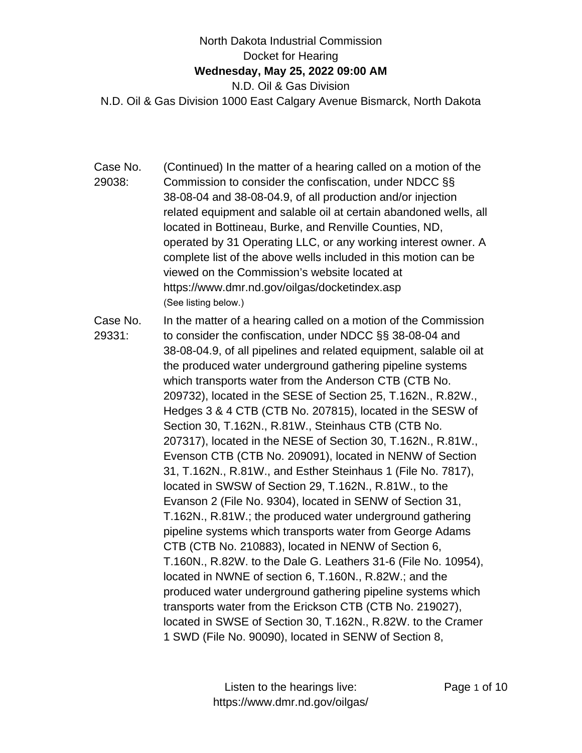## North Dakota Industrial Commission Docket for Hearing **Wednesday, May 25, 2022 09:00 AM** N.D. Oil & Gas Division N.D. Oil & Gas Division 1000 East Calgary Avenue Bismarck, North Dakota

- Case No. 29038: (Continued) In the matter of a hearing called on a motion of the Commission to consider the confiscation, under NDCC §§ 38-08-04 and 38-08-04.9, of all production and/or injection related equipment and salable oil at certain abandoned wells, all located in Bottineau, Burke, and Renville Counties, ND, operated by 31 Operating LLC, or any working interest owner. A complete list of the above wells included in this motion can be viewed on the Commission's website located at https://www.dmr.nd.gov/oilgas/docketindex.asp (See listing below.)
- Case No. 29331: In the matter of a hearing called on a motion of the Commission to consider the confiscation, under NDCC §§ 38-08-04 and 38-08-04.9, of all pipelines and related equipment, salable oil at the produced water underground gathering pipeline systems which transports water from the Anderson CTB (CTB No. 209732), located in the SESE of Section 25, T.162N., R.82W., Hedges 3 & 4 CTB (CTB No. 207815), located in the SESW of Section 30, T.162N., R.81W., Steinhaus CTB (CTB No. 207317), located in the NESE of Section 30, T.162N., R.81W., Evenson CTB (CTB No. 209091), located in NENW of Section 31, T.162N., R.81W., and Esther Steinhaus 1 (File No. 7817), located in SWSW of Section 29, T.162N., R.81W., to the Evanson 2 (File No. 9304), located in SENW of Section 31, T.162N., R.81W.; the produced water underground gathering pipeline systems which transports water from George Adams CTB (CTB No. 210883), located in NENW of Section 6, T.160N., R.82W. to the Dale G. Leathers 31-6 (File No. 10954), located in NWNE of section 6, T.160N., R.82W.; and the produced water underground gathering pipeline systems which transports water from the Erickson CTB (CTB No. 219027), located in SWSE of Section 30, T.162N., R.82W. to the Cramer 1 SWD (File No. 90090), located in SENW of Section 8,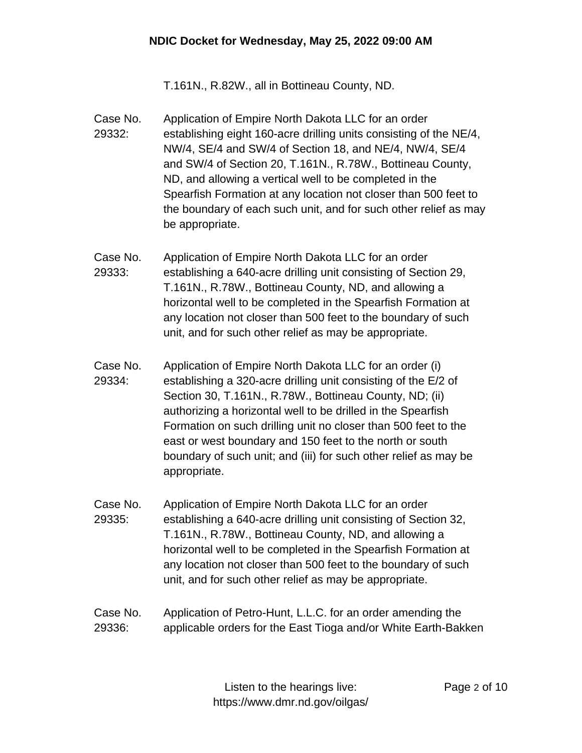T.161N., R.82W., all in Bottineau County, ND.

- Case No. 29332: Application of Empire North Dakota LLC for an order establishing eight 160-acre drilling units consisting of the NE/4, NW/4, SE/4 and SW/4 of Section 18, and NE/4, NW/4, SE/4 and SW/4 of Section 20, T.161N., R.78W., Bottineau County, ND, and allowing a vertical well to be completed in the Spearfish Formation at any location not closer than 500 feet to the boundary of each such unit, and for such other relief as may be appropriate.
- Case No. 29333: Application of Empire North Dakota LLC for an order establishing a 640-acre drilling unit consisting of Section 29, T.161N., R.78W., Bottineau County, ND, and allowing a horizontal well to be completed in the Spearfish Formation at any location not closer than 500 feet to the boundary of such unit, and for such other relief as may be appropriate.
- Case No. 29334: Application of Empire North Dakota LLC for an order (i) establishing a 320-acre drilling unit consisting of the E/2 of Section 30, T.161N., R.78W., Bottineau County, ND; (ii) authorizing a horizontal well to be drilled in the Spearfish Formation on such drilling unit no closer than 500 feet to the east or west boundary and 150 feet to the north or south boundary of such unit; and (iii) for such other relief as may be appropriate.
- Case No. 29335: Application of Empire North Dakota LLC for an order establishing a 640-acre drilling unit consisting of Section 32, T.161N., R.78W., Bottineau County, ND, and allowing a horizontal well to be completed in the Spearfish Formation at any location not closer than 500 feet to the boundary of such unit, and for such other relief as may be appropriate.
- Case No. 29336: Application of Petro-Hunt, L.L.C. for an order amending the applicable orders for the East Tioga and/or White Earth-Bakken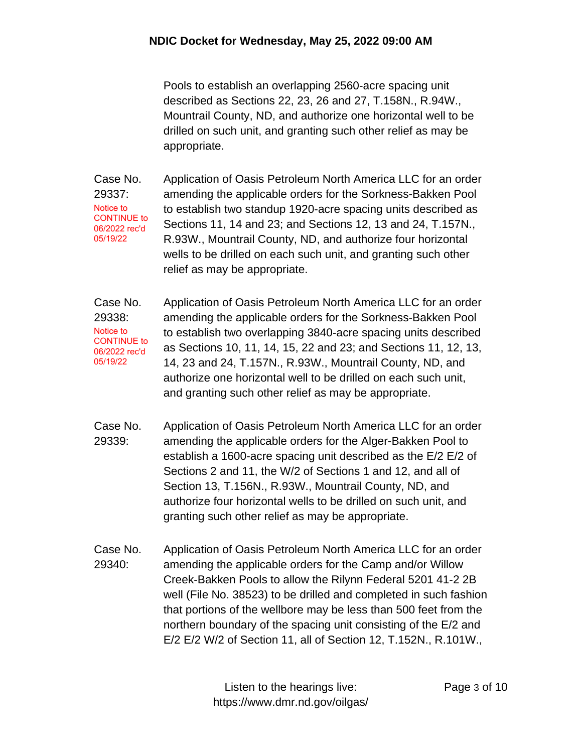Pools to establish an overlapping 2560-acre spacing unit described as Sections 22, 23, 26 and 27, T.158N., R.94W., Mountrail County, ND, and authorize one horizontal well to be drilled on such unit, and granting such other relief as may be appropriate.

Case No. 29337: Application of Oasis Petroleum North America LLC for an order amending the applicable orders for the Sorkness-Bakken Pool to establish two standup 1920-acre spacing units described as Sections 11, 14 and 23; and Sections 12, 13 and 24, T.157N., R.93W., Mountrail County, ND, and authorize four horizontal wells to be drilled on each such unit, and granting such other relief as may be appropriate. Notice to CONTINUE to 06/2022 rec'd 05/19/22

Case No. 29338: Application of Oasis Petroleum North America LLC for an order amending the applicable orders for the Sorkness-Bakken Pool to establish two overlapping 3840-acre spacing units described as Sections 10, 11, 14, 15, 22 and 23; and Sections 11, 12, 13, 14, 23 and 24, T.157N., R.93W., Mountrail County, ND, and authorize one horizontal well to be drilled on each such unit, and granting such other relief as may be appropriate. Notice to CONTINUE to 06/2022 rec'd 05/19/22

- Case No. 29339: Application of Oasis Petroleum North America LLC for an order amending the applicable orders for the Alger-Bakken Pool to establish a 1600-acre spacing unit described as the E/2 E/2 of Sections 2 and 11, the W/2 of Sections 1 and 12, and all of Section 13, T.156N., R.93W., Mountrail County, ND, and authorize four horizontal wells to be drilled on such unit, and granting such other relief as may be appropriate.
- Case No. 29340: Application of Oasis Petroleum North America LLC for an order amending the applicable orders for the Camp and/or Willow Creek-Bakken Pools to allow the Rilynn Federal 5201 41-2 2B well (File No. 38523) to be drilled and completed in such fashion that portions of the wellbore may be less than 500 feet from the northern boundary of the spacing unit consisting of the E/2 and E/2 E/2 W/2 of Section 11, all of Section 12, T.152N., R.101W.,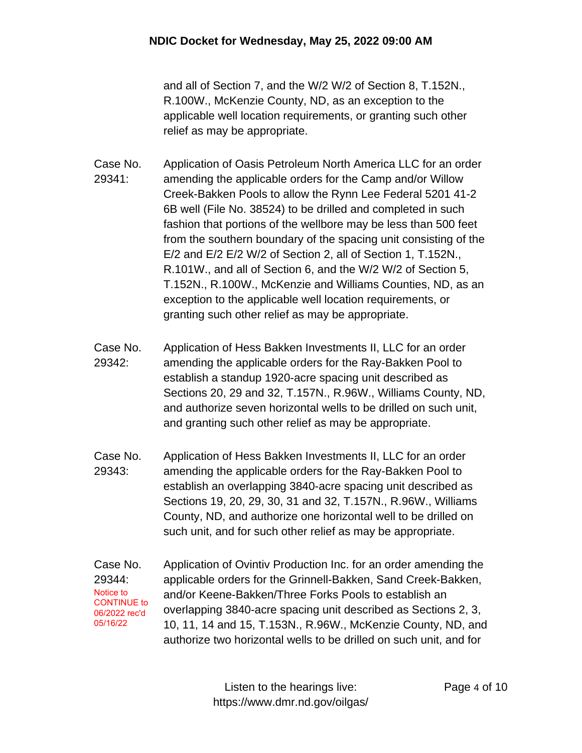and all of Section 7, and the W/2 W/2 of Section 8, T.152N., R.100W., McKenzie County, ND, as an exception to the applicable well location requirements, or granting such other relief as may be appropriate.

- Case No. 29341: Application of Oasis Petroleum North America LLC for an order amending the applicable orders for the Camp and/or Willow Creek-Bakken Pools to allow the Rynn Lee Federal 5201 41-2 6B well (File No. 38524) to be drilled and completed in such fashion that portions of the wellbore may be less than 500 feet from the southern boundary of the spacing unit consisting of the E/2 and E/2 E/2 W/2 of Section 2, all of Section 1, T.152N., R.101W., and all of Section 6, and the W/2 W/2 of Section 5, T.152N., R.100W., McKenzie and Williams Counties, ND, as an exception to the applicable well location requirements, or granting such other relief as may be appropriate.
- Case No. 29342: Application of Hess Bakken Investments II, LLC for an order amending the applicable orders for the Ray-Bakken Pool to establish a standup 1920-acre spacing unit described as Sections 20, 29 and 32, T.157N., R.96W., Williams County, ND, and authorize seven horizontal wells to be drilled on such unit, and granting such other relief as may be appropriate.
- Case No. 29343: Application of Hess Bakken Investments II, LLC for an order amending the applicable orders for the Ray-Bakken Pool to establish an overlapping 3840-acre spacing unit described as Sections 19, 20, 29, 30, 31 and 32, T.157N., R.96W., Williams County, ND, and authorize one horizontal well to be drilled on such unit, and for such other relief as may be appropriate.
- Case No. 29344: Application of Ovintiv Production Inc. for an order amending the applicable orders for the Grinnell-Bakken, Sand Creek-Bakken, and/or Keene-Bakken/Three Forks Pools to establish an overlapping 3840-acre spacing unit described as Sections 2, 3, 10, 11, 14 and 15, T.153N., R.96W., McKenzie County, ND, and authorize two horizontal wells to be drilled on such unit, and for Notice to CONTINUE to 06/2022 rec'd 05/16/22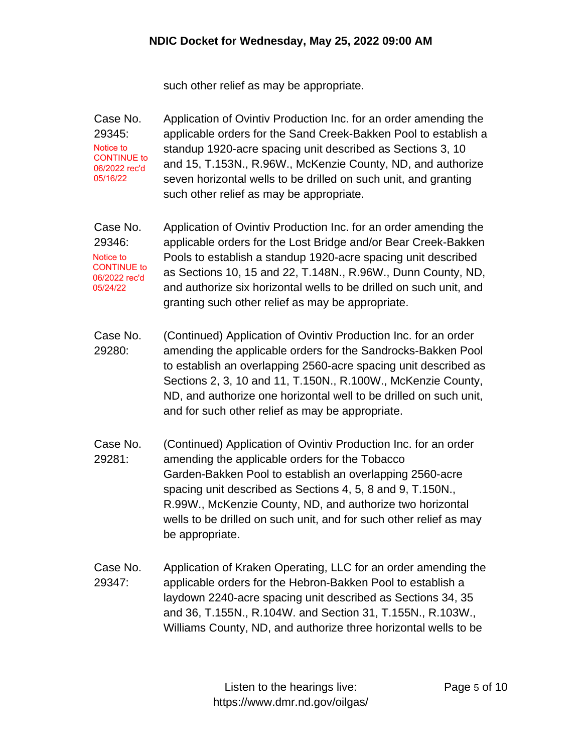such other relief as may be appropriate.

Case No. 29345: Application of Ovintiv Production Inc. for an order amending the applicable orders for the Sand Creek-Bakken Pool to establish a standup 1920-acre spacing unit described as Sections 3, 10 and 15, T.153N., R.96W., McKenzie County, ND, and authorize seven horizontal wells to be drilled on such unit, and granting such other relief as may be appropriate. Notice to CONTINUE to 06/2022 rec'd 05/16/22

Case No. 29346: Application of Ovintiv Production Inc. for an order amending the applicable orders for the Lost Bridge and/or Bear Creek-Bakken Pools to establish a standup 1920-acre spacing unit described as Sections 10, 15 and 22, T.148N., R.96W., Dunn County, ND, and authorize six horizontal wells to be drilled on such unit, and granting such other relief as may be appropriate. Notice to CONTINUE to 06/2022 rec'd 05/24/22

- Case No. 29280: (Continued) Application of Ovintiv Production Inc. for an order amending the applicable orders for the Sandrocks-Bakken Pool to establish an overlapping 2560-acre spacing unit described as Sections 2, 3, 10 and 11, T.150N., R.100W., McKenzie County, ND, and authorize one horizontal well to be drilled on such unit, and for such other relief as may be appropriate.
- Case No. 29281: (Continued) Application of Ovintiv Production Inc. for an order amending the applicable orders for the Tobacco Garden-Bakken Pool to establish an overlapping 2560-acre spacing unit described as Sections 4, 5, 8 and 9, T.150N., R.99W., McKenzie County, ND, and authorize two horizontal wells to be drilled on such unit, and for such other relief as may be appropriate.
- Case No. 29347: Application of Kraken Operating, LLC for an order amending the applicable orders for the Hebron-Bakken Pool to establish a laydown 2240-acre spacing unit described as Sections 34, 35 and 36, T.155N., R.104W. and Section 31, T.155N., R.103W., Williams County, ND, and authorize three horizontal wells to be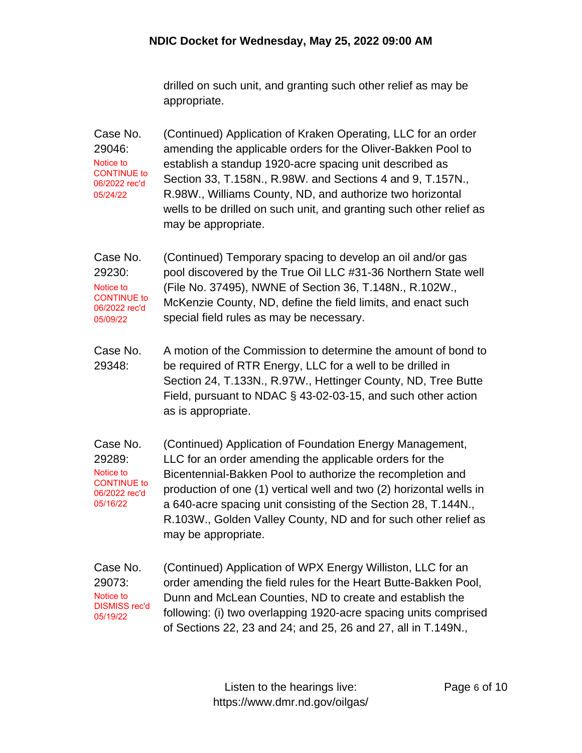drilled on such unit, and granting such other relief as may be appropriate.

Case No. 29046: (Continued) Application of Kraken Operating, LLC for an order amending the applicable orders for the Oliver-Bakken Pool to establish a standup 1920-acre spacing unit described as Section 33, T.158N., R.98W. and Sections 4 and 9, T.157N., R.98W., Williams County, ND, and authorize two horizontal wells to be drilled on such unit, and granting such other relief as may be appropriate. Notice to CONTINUE to 06/2022 rec'd 05/24/22

Case No. 29230: (Continued) Temporary spacing to develop an oil and/or gas pool discovered by the True Oil LLC #31-36 Northern State well (File No. 37495), NWNE of Section 36, T.148N., R.102W., McKenzie County, ND, define the field limits, and enact such special field rules as may be necessary. Notice to CONTINUE to 06/2022 rec'd 05/09/22

Case No. 29348: A motion of the Commission to determine the amount of bond to be required of RTR Energy, LLC for a well to be drilled in Section 24, T.133N., R.97W., Hettinger County, ND, Tree Butte Field, pursuant to NDAC § 43-02-03-15, and such other action as is appropriate.

Case No. 29289: (Continued) Application of Foundation Energy Management, LLC for an order amending the applicable orders for the Bicentennial-Bakken Pool to authorize the recompletion and production of one (1) vertical well and two (2) horizontal wells in a 640-acre spacing unit consisting of the Section 28, T.144N., R.103W., Golden Valley County, ND and for such other relief as may be appropriate. Notice to CONTINUE to 06/2022 rec'd 05/16/22

Case No. 29073: (Continued) Application of WPX Energy Williston, LLC for an order amending the field rules for the Heart Butte-Bakken Pool, Dunn and McLean Counties, ND to create and establish the following: (i) two overlapping 1920-acre spacing units comprised of Sections 22, 23 and 24; and 25, 26 and 27, all in T.149N., Notice to DISMISS rec'd 05/19/22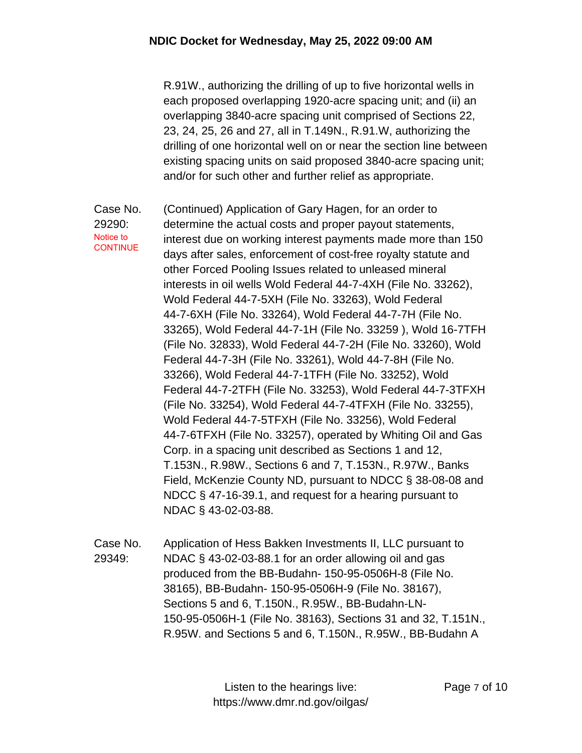## **NDIC Docket for Wednesday, May 25, 2022 09:00 AM**

R.91W., authorizing the drilling of up to five horizontal wells in each proposed overlapping 1920-acre spacing unit; and (ii) an overlapping 3840-acre spacing unit comprised of Sections 22, 23, 24, 25, 26 and 27, all in T.149N., R.91.W, authorizing the drilling of one horizontal well on or near the section line between existing spacing units on said proposed 3840-acre spacing unit; and/or for such other and further relief as appropriate.

Case No. 29290: (Continued) Application of Gary Hagen, for an order to determine the actual costs and proper payout statements, interest due on working interest payments made more than 150 days after sales, enforcement of cost-free royalty statute and other Forced Pooling Issues related to unleased mineral interests in oil wells Wold Federal 44-7-4XH (File No. 33262), Wold Federal 44-7-5XH (File No. 33263), Wold Federal 44-7-6XH (File No. 33264), Wold Federal 44-7-7H (File No. 33265), Wold Federal 44-7-1H (File No. 33259 ), Wold 16-7TFH (File No. 32833), Wold Federal 44-7-2H (File No. 33260), Wold Federal 44-7-3H (File No. 33261), Wold 44-7-8H (File No. 33266), Wold Federal 44-7-1TFH (File No. 33252), Wold Federal 44-7-2TFH (File No. 33253), Wold Federal 44-7-3TFXH (File No. 33254), Wold Federal 44-7-4TFXH (File No. 33255), Wold Federal 44-7-5TFXH (File No. 33256), Wold Federal 44-7-6TFXH (File No. 33257), operated by Whiting Oil and Gas Corp. in a spacing unit described as Sections 1 and 12, T.153N., R.98W., Sections 6 and 7, T.153N., R.97W., Banks Field, McKenzie County ND, pursuant to NDCC § 38-08-08 and NDCC § 47-16-39.1, and request for a hearing pursuant to NDAC § 43-02-03-88. Notice to **CONTINUE** 

Case No. 29349: Application of Hess Bakken Investments II, LLC pursuant to NDAC § 43-02-03-88.1 for an order allowing oil and gas produced from the BB-Budahn- 150-95-0506H-8 (File No. 38165), BB-Budahn- 150-95-0506H-9 (File No. 38167), Sections 5 and 6, T.150N., R.95W., BB-Budahn-LN-150-95-0506H-1 (File No. 38163), Sections 31 and 32, T.151N., R.95W. and Sections 5 and 6, T.150N., R.95W., BB-Budahn A

> Listen to the hearings live: https://www.dmr.nd.gov/oilgas/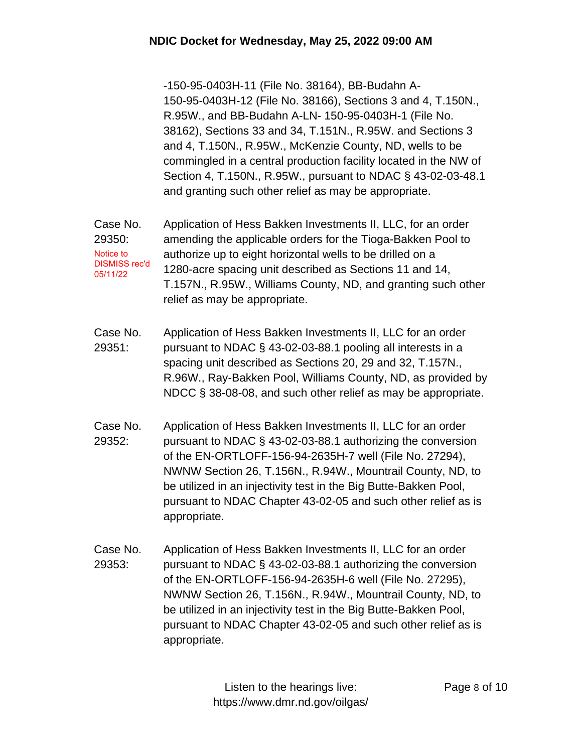-150-95-0403H-11 (File No. 38164), BB-Budahn A-150-95-0403H-12 (File No. 38166), Sections 3 and 4, T.150N., R.95W., and BB-Budahn A-LN- 150-95-0403H-1 (File No. 38162), Sections 33 and 34, T.151N., R.95W. and Sections 3 and 4, T.150N., R.95W., McKenzie County, ND, wells to be commingled in a central production facility located in the NW of Section 4, T.150N., R.95W., pursuant to NDAC § 43-02-03-48.1 and granting such other relief as may be appropriate.

- Case No. 29350: Application of Hess Bakken Investments II, LLC, for an order amending the applicable orders for the Tioga-Bakken Pool to authorize up to eight horizontal wells to be drilled on a 1280-acre spacing unit described as Sections 11 and 14, T.157N., R.95W., Williams County, ND, and granting such other relief as may be appropriate. Notice to DISMISS rec'd 05/11/22
- Case No. 29351: Application of Hess Bakken Investments II, LLC for an order pursuant to NDAC § 43-02-03-88.1 pooling all interests in a spacing unit described as Sections 20, 29 and 32, T.157N., R.96W., Ray-Bakken Pool, Williams County, ND, as provided by NDCC § 38-08-08, and such other relief as may be appropriate.
- Case No. 29352: Application of Hess Bakken Investments II, LLC for an order pursuant to NDAC § 43-02-03-88.1 authorizing the conversion of the EN-ORTLOFF-156-94-2635H-7 well (File No. 27294), NWNW Section 26, T.156N., R.94W., Mountrail County, ND, to be utilized in an injectivity test in the Big Butte-Bakken Pool, pursuant to NDAC Chapter 43-02-05 and such other relief as is appropriate.
- Case No. 29353: Application of Hess Bakken Investments II, LLC for an order pursuant to NDAC § 43-02-03-88.1 authorizing the conversion of the EN-ORTLOFF-156-94-2635H-6 well (File No. 27295), NWNW Section 26, T.156N., R.94W., Mountrail County, ND, to be utilized in an injectivity test in the Big Butte-Bakken Pool, pursuant to NDAC Chapter 43-02-05 and such other relief as is appropriate.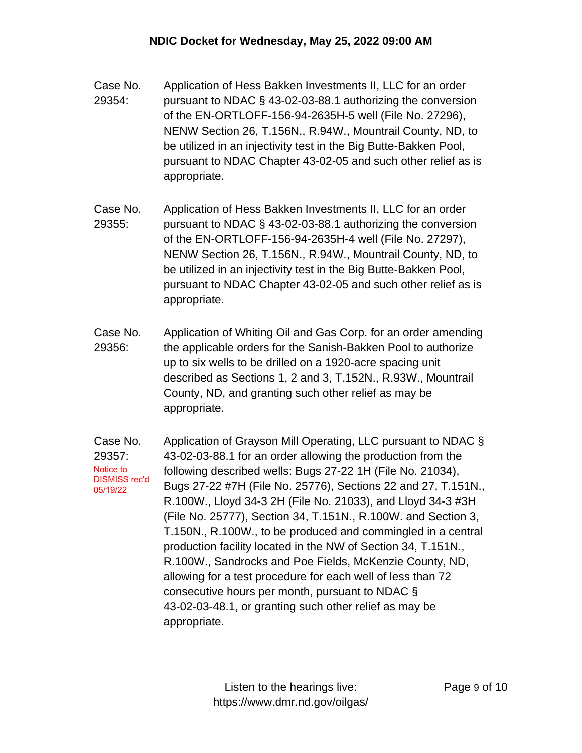- Case No. 29354: Application of Hess Bakken Investments II, LLC for an order pursuant to NDAC § 43-02-03-88.1 authorizing the conversion of the EN-ORTLOFF-156-94-2635H-5 well (File No. 27296), NENW Section 26, T.156N., R.94W., Mountrail County, ND, to be utilized in an injectivity test in the Big Butte-Bakken Pool, pursuant to NDAC Chapter 43-02-05 and such other relief as is appropriate.
- Case No. 29355: Application of Hess Bakken Investments II, LLC for an order pursuant to NDAC § 43-02-03-88.1 authorizing the conversion of the EN-ORTLOFF-156-94-2635H-4 well (File No. 27297), NENW Section 26, T.156N., R.94W., Mountrail County, ND, to be utilized in an injectivity test in the Big Butte-Bakken Pool, pursuant to NDAC Chapter 43-02-05 and such other relief as is appropriate.
- Case No. 29356: Application of Whiting Oil and Gas Corp. for an order amending the applicable orders for the Sanish-Bakken Pool to authorize up to six wells to be drilled on a 1920-acre spacing unit described as Sections 1, 2 and 3, T.152N., R.93W., Mountrail County, ND, and granting such other relief as may be appropriate.

Case No. 29357: Application of Grayson Mill Operating, LLC pursuant to NDAC § 43-02-03-88.1 for an order allowing the production from the following described wells: Bugs 27-22 1H (File No. 21034), Bugs 27-22 #7H (File No. 25776), Sections 22 and 27, T.151N., R.100W., Lloyd 34-3 2H (File No. 21033), and Lloyd 34-3 #3H (File No. 25777), Section 34, T.151N., R.100W. and Section 3, T.150N., R.100W., to be produced and commingled in a central production facility located in the NW of Section 34, T.151N., R.100W., Sandrocks and Poe Fields, McKenzie County, ND, allowing for a test procedure for each well of less than 72 consecutive hours per month, pursuant to NDAC § 43-02-03-48.1, or granting such other relief as may be appropriate. Notice to DISMISS rec'd 05/19/22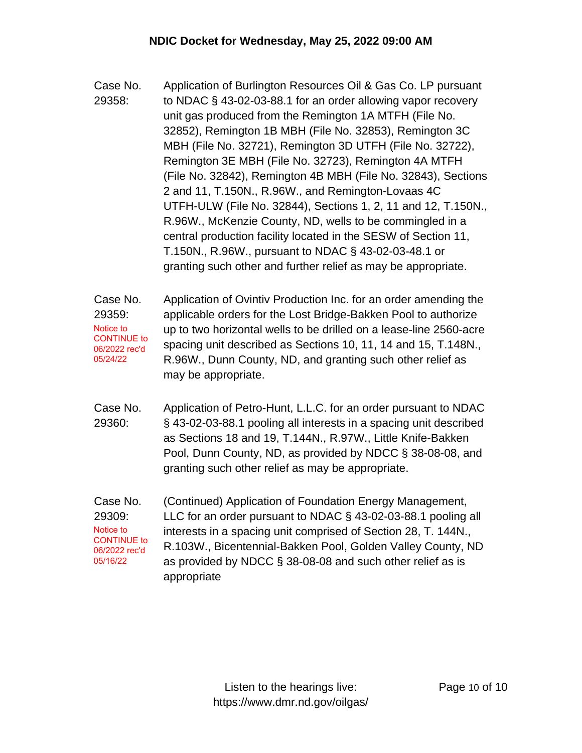- Case No. 29358: Application of Burlington Resources Oil & Gas Co. LP pursuant to NDAC § 43-02-03-88.1 for an order allowing vapor recovery unit gas produced from the Remington 1A MTFH (File No. 32852), Remington 1B MBH (File No. 32853), Remington 3C MBH (File No. 32721), Remington 3D UTFH (File No. 32722), Remington 3E MBH (File No. 32723), Remington 4A MTFH (File No. 32842), Remington 4B MBH (File No. 32843), Sections 2 and 11, T.150N., R.96W., and Remington-Lovaas 4C UTFH-ULW (File No. 32844), Sections 1, 2, 11 and 12, T.150N., R.96W., McKenzie County, ND, wells to be commingled in a central production facility located in the SESW of Section 11, T.150N., R.96W., pursuant to NDAC § 43-02-03-48.1 or granting such other and further relief as may be appropriate.
- Case No. 29359: Application of Ovintiv Production Inc. for an order amending the applicable orders for the Lost Bridge-Bakken Pool to authorize up to two horizontal wells to be drilled on a lease-line 2560-acre spacing unit described as Sections 10, 11, 14 and 15, T.148N., R.96W., Dunn County, ND, and granting such other relief as may be appropriate. Notice to CONTINUE to 06/2022 rec'd 05/24/22
- Case No. 29360: Application of Petro-Hunt, L.L.C. for an order pursuant to NDAC § 43-02-03-88.1 pooling all interests in a spacing unit described as Sections 18 and 19, T.144N., R.97W., Little Knife-Bakken Pool, Dunn County, ND, as provided by NDCC § 38-08-08, and granting such other relief as may be appropriate.
- Case No. 29309: (Continued) Application of Foundation Energy Management, LLC for an order pursuant to NDAC § 43-02-03-88.1 pooling all interests in a spacing unit comprised of Section 28, T. 144N., R.103W., Bicentennial-Bakken Pool, Golden Valley County, ND as provided by NDCC § 38-08-08 and such other relief as is appropriate Notice to CONTINUE to 06/2022 rec'd 05/16/22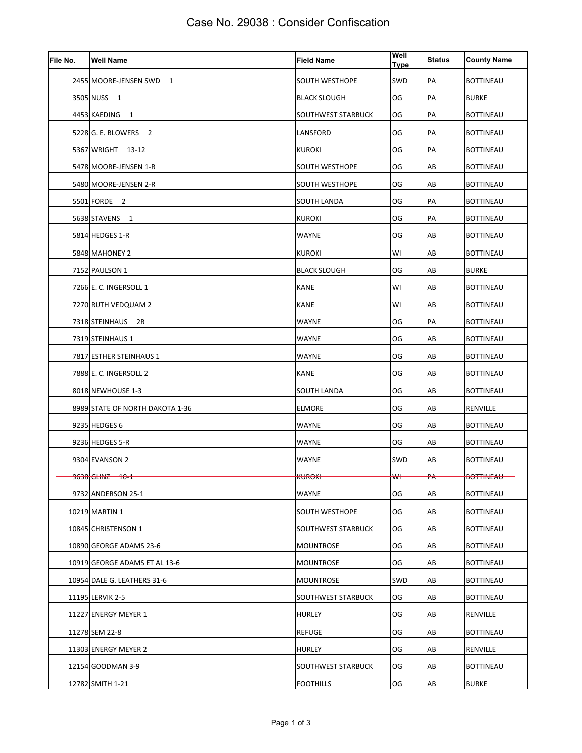| File No. | <b>Well Name</b>                | <b>Field Name</b>        | Well<br><b>Type</b> | <b>Status</b> | <b>County Name</b> |
|----------|---------------------------------|--------------------------|---------------------|---------------|--------------------|
|          | 2455 MOORE-JENSEN SWD 1         | SOUTH WESTHOPE           | SWD                 | PA            | <b>BOTTINEAU</b>   |
|          | 3505 NUSS 1                     | <b>BLACK SLOUGH</b>      | OG                  | PA            | <b>BURKE</b>       |
|          | 4453 KAEDING 1                  | SOUTHWEST STARBUCK       | OG                  | PA            | <b>BOTTINEAU</b>   |
|          | 5228 G. E. BLOWERS 2            | LANSFORD                 | OG                  | PA            | <b>BOTTINEAU</b>   |
|          | 5367 WRIGHT 13-12               | KUROKI                   | OG                  | PA            | BOTTINEAU          |
|          | 5478 MOORE-JENSEN 1-R           | SOUTH WESTHOPE           | OG                  | AB            | <b>BOTTINEAU</b>   |
|          | 5480 MOORE-JENSEN 2-R           | SOUTH WESTHOPE           | OG                  | AB            | <b>BOTTINEAU</b>   |
|          | 5501 FORDE 2                    | SOUTH LANDA              | OG                  | PA            | <b>BOTTINEAU</b>   |
|          | 5638 STAVENS 1                  | KUROKI                   | OG                  | PA            | <b>BOTTINEAU</b>   |
|          | 5814 HEDGES 1-R                 | WAYNE                    | OG                  | AB            | <b>BOTTINEAU</b>   |
|          | 5848 MAHONEY 2                  | KUROKI                   | WI                  | AB            | <b>BOTTINEAU</b>   |
|          | <del>7152 PAULSON 1-</del>      | <del>BLACK SLOUGH-</del> | <del>OG</del>       | <del>A₿</del> | <b>BURKE</b>       |
|          | 7266 E. C. INGERSOLL 1          | KANE                     | WI                  | AB            | <b>BOTTINEAU</b>   |
|          | 7270 RUTH VEDQUAM 2             | KANE                     | WI                  | AB            | <b>BOTTINEAU</b>   |
|          | 7318 STEINHAUS 2R               | WAYNE                    | OG                  | PA            | <b>BOTTINEAU</b>   |
|          | 7319 STEINHAUS 1                | WAYNE                    | OG                  | AB            | <b>BOTTINEAU</b>   |
|          | 7817 ESTHER STEINHAUS 1         | <b>WAYNE</b>             | OG                  | AB            | <b>BOTTINEAU</b>   |
|          | 7888 E. C. INGERSOLL 2          | KANE                     | OG                  | AB            | <b>BOTTINEAU</b>   |
|          | 8018 NEWHOUSE 1-3               | SOUTH LANDA              | OG                  | AB            | <b>BOTTINEAU</b>   |
|          | 8989 STATE OF NORTH DAKOTA 1-36 | <b>ELMORE</b>            | OG                  | AB            | RENVILLE           |
|          | 9235 HEDGES 6                   | WAYNE                    | OG                  | AB            | <b>BOTTINEAU</b>   |
|          | 9236 HEDGES 5-R                 | WAYNE                    | OG                  | AB            | <b>BOTTINEAU</b>   |
|          | 9304 EVANSON 2                  | WAYNE                    | SWD                 | AB            | <b>BOTTINEAU</b>   |
|          | 9638 GLINZ 10-1                 | <b>KUROKI</b>            | ₩                   | $\mathsf{PA}$ | <b>BOTTINEAU</b>   |
|          | 9732 ANDERSON 25-1              | WAYNE                    | OG                  | AB            | <b>BOTTINEAU</b>   |
|          | 10219 MARTIN 1                  | SOUTH WESTHOPE           | OG                  | AB            | <b>BOTTINEAU</b>   |
|          | 10845 CHRISTENSON 1             | SOUTHWEST STARBUCK       | OG                  | AB            | <b>BOTTINEAU</b>   |
|          | 10890 GEORGE ADAMS 23-6         | MOUNTROSE                | OG                  | AB            | <b>BOTTINEAU</b>   |
|          | 10919 GEORGE ADAMS ET AL 13-6   | MOUNTROSE                | OG                  | AB            | <b>BOTTINEAU</b>   |
|          | 10954 DALE G. LEATHERS 31-6     | MOUNTROSE                | SWD                 | AB            | <b>BOTTINEAU</b>   |
|          | 11195 LERVIK 2-5                | SOUTHWEST STARBUCK       | OG                  | AB            | <b>BOTTINEAU</b>   |
|          | 11227 ENERGY MEYER 1            | HURLEY                   | OG                  | AB            | RENVILLE           |
|          | 11278 SEM 22-8                  | <b>REFUGE</b>            | OG                  | AB            | <b>BOTTINEAU</b>   |
|          | 11303 ENERGY MEYER 2            | <b>HURLEY</b>            | OG                  | AB            | RENVILLE           |
|          | 12154 GOODMAN 3-9               | SOUTHWEST STARBUCK       | OG                  | AB            | <b>BOTTINEAU</b>   |
|          | 12782 SMITH 1-21                | <b>FOOTHILLS</b>         | OG                  | AB            | <b>BURKE</b>       |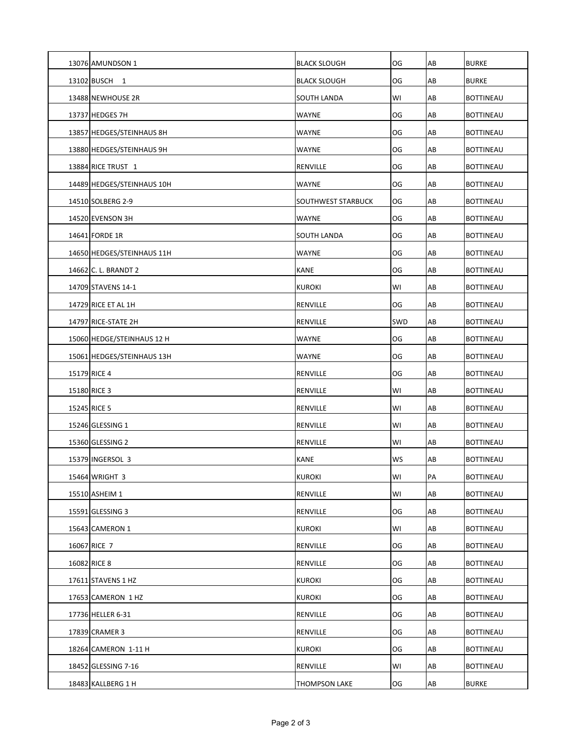| 13076 AMUNDSON 1           | <b>BLACK SLOUGH</b>  | OG         | AB | <b>BURKE</b>     |
|----------------------------|----------------------|------------|----|------------------|
| 13102 BUSCH 1              | <b>BLACK SLOUGH</b>  | OG         | AB | <b>BURKE</b>     |
| 13488 NEWHOUSE 2R          | SOUTH LANDA          | WI         | AB | <b>BOTTINEAU</b> |
| 13737 HEDGES 7H            | WAYNE                | OG         | AB | <b>BOTTINEAU</b> |
| 13857 HEDGES/STEINHAUS 8H  | <b>WAYNE</b>         | OG         | AB | <b>BOTTINEAU</b> |
| 13880 HEDGES/STEINHAUS 9H  | WAYNE                | OG         | AB | <b>BOTTINEAU</b> |
| 13884 RICE TRUST 1         | RENVILLE             | OG         | AB | <b>BOTTINEAU</b> |
| 14489 HEDGES/STEINHAUS 10H | WAYNE                | OG         | AB | <b>BOTTINEAU</b> |
| 14510 SOLBERG 2-9          | SOUTHWEST STARBUCK   | OG         | AB | <b>BOTTINEAU</b> |
| 14520 EVENSON 3H           | WAYNE                | OG         | AB | <b>BOTTINEAU</b> |
| 14641 FORDE 1R             | SOUTH LANDA          | OG         | AB | <b>BOTTINEAU</b> |
| 14650 HEDGES/STEINHAUS 11H | WAYNE                | OG         | AB | <b>BOTTINEAU</b> |
| 14662 C. L. BRANDT 2       | <b>KANE</b>          | OG         | AB | <b>BOTTINEAU</b> |
| 14709 STAVENS 14-1         | <b>KUROKI</b>        | WI         | AB | <b>BOTTINEAU</b> |
| 14729 RICE ET AL 1H        | <b>RENVILLE</b>      | OG         | AB | <b>BOTTINEAU</b> |
| 14797 RICE-STATE 2H        | RENVILLE             | <b>SWD</b> | AB | <b>BOTTINEAU</b> |
| 15060 HEDGE/STEINHAUS 12 H | WAYNE                | OG         | AB | <b>BOTTINEAU</b> |
| 15061 HEDGES/STEINHAUS 13H | WAYNE                | OG         | AB | <b>BOTTINEAU</b> |
| 15179 RICE 4               | RENVILLE             | OG         | AB | <b>BOTTINEAU</b> |
| 15180 RICE 3               | RENVILLE             | WI         | AB | <b>BOTTINEAU</b> |
| 15245 RICE 5               | RENVILLE             | WI         | AB | <b>BOTTINEAU</b> |
| 15246 GLESSING 1           | RENVILLE             | WI         | AB | <b>BOTTINEAU</b> |
| 15360 GLESSING 2           | RENVILLE             | WI         | AB | <b>BOTTINEAU</b> |
| 15379 INGERSOL 3           | <b>KANE</b>          | WS         | AB | <b>BOTTINEAU</b> |
| 15464 WRIGHT 3             | KUROKI               | WI         | PA | <b>BOTTINEAU</b> |
| 15510 ASHEIM 1             | RENVILLE             | WI         | AB | <b>BOTTINEAU</b> |
| 15591 GLESSING 3           | RENVILLE             | OG         | AB | <b>BOTTINEAU</b> |
| 15643 CAMERON 1            | <b>KUROKI</b>        | WI         | AB | <b>BOTTINEAU</b> |
| 16067 RICE 7               | RENVILLE             | OG         | AB | <b>BOTTINEAU</b> |
| 16082 RICE 8               | RENVILLE             | OG         | AB | <b>BOTTINEAU</b> |
| 17611 STAVENS 1 HZ         | <b>KUROKI</b>        | OG         | AB | <b>BOTTINEAU</b> |
| 17653 CAMERON 1 HZ         | <b>KUROKI</b>        | OG         | AB | <b>BOTTINEAU</b> |
| 17736 HELLER 6-31          | RENVILLE             | OG         | AB | BOTTINEAU        |
| 17839 CRAMER 3             | RENVILLE             | OG         | AB | <b>BOTTINEAU</b> |
| 18264 CAMERON 1-11 H       | <b>KUROKI</b>        | OG         | AB | <b>BOTTINEAU</b> |
| 18452 GLESSING 7-16        | RENVILLE             | WI         | AB | <b>BOTTINEAU</b> |
| 18483 KALLBERG 1 H         | <b>THOMPSON LAKE</b> | OG         | AB | <b>BURKE</b>     |